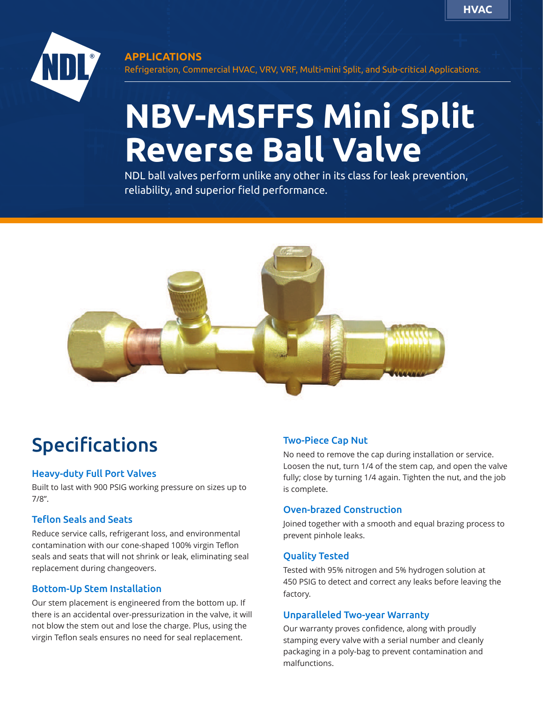

#### **APPLICATIONS**

Refrigeration, Commercial HVAC, VRV, VRF, Multi-mini Split, and Sub-critical Applications.

## **NBV-MSFFS Mini Split Reverse Ball Valve**

NDL ball valves perform unlike any other in its class for leak prevention, reliability, and superior field performance.



### Specifications

#### Heavy-duty Full Port Valves

Built to last with 900 PSIG working pressure on sizes up to 7/8".

#### Teflon Seals and Seats

Reduce service calls, refrigerant loss, and environmental contamination with our cone-shaped 100% virgin Teflon seals and seats that will not shrink or leak, eliminating seal replacement during changeovers.

#### Bottom-Up Stem Installation

Our stem placement is engineered from the bottom up. If there is an accidental over-pressurization in the valve, it will not blow the stem out and lose the charge. Plus, using the virgin Teflon seals ensures no need for seal replacement.

#### Two-Piece Cap Nut

No need to remove the cap during installation or service. Loosen the nut, turn 1/4 of the stem cap, and open the valve fully; close by turning 1/4 again. Tighten the nut, and the job is complete.

#### Oven-brazed Construction

Joined together with a smooth and equal brazing process to prevent pinhole leaks.

#### Quality Tested

Tested with 95% nitrogen and 5% hydrogen solution at 450 PSIG to detect and correct any leaks before leaving the factory.

#### Unparalleled Two-year Warranty

Our warranty proves confidence, along with proudly stamping every valve with a serial number and cleanly packaging in a poly-bag to prevent contamination and malfunctions.